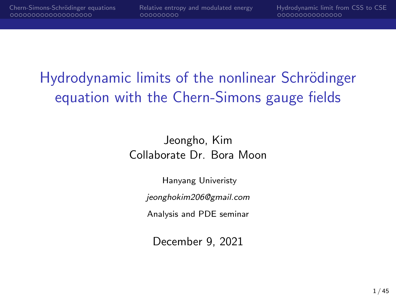# Hydrodynamic limits of the nonlinear Schrödinger equation with the Chern-Simons gauge fields

Jeongho, Kim Collaborate Dr. Bora Moon

Hanyang Univeristy

jeonghokim206@gmail.com

Analysis and PDE seminar

December 9, 2021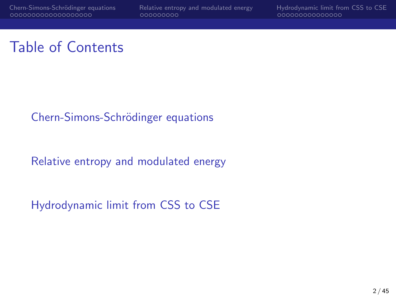#### Table of Contents

#### Chern-Simons-Schrödinger equations

[Relative entropy and modulated energy](#page-21-0)

[Hydrodynamic limit from CSS to CSE](#page-30-0)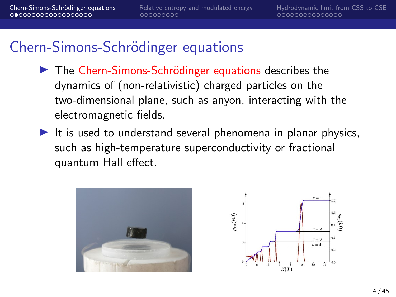- ▶ The Chern-Simons-Schrödinger equations describes the dynamics of (non-relativistic) charged particles on the two-dimensional plane, such as anyon, interacting with the electromagnetic fields.
- It is used to understand several phenomena in planar physics, such as high-temperature superconductivity or fractional quantum Hall effect.



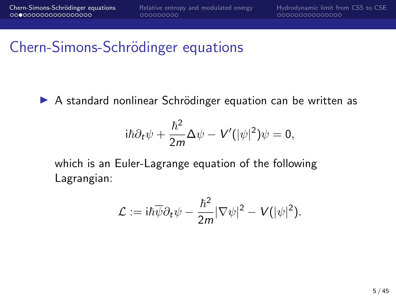▶ A standard nonlinear Schrödinger equation can be written as

$$
\mathrm{i}\hbar\partial_t\psi+\frac{\hbar^2}{2m}\Delta\psi-V'(|\psi|^2)\psi=0,
$$

which is an Euler-Lagrange equation of the following Lagrangian:

$$
\mathcal{L} := i\hbar \overline{\psi} \partial_t \psi - \frac{\hbar^2}{2m} |\nabla \psi|^2 - V(|\psi|^2).
$$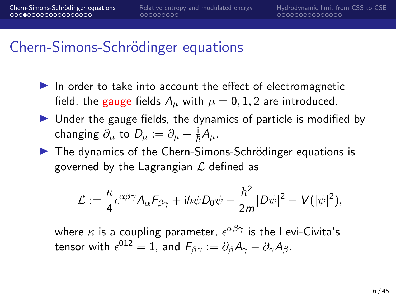- $\blacktriangleright$  In order to take into account the effect of electromagnetic field, the gauge fields  $A_\mu$  with  $\mu = 0, 1, 2$  are introduced.
- $\triangleright$  Under the gauge fields, the dynamics of particle is modified by changing  $\partial_\mu$  to  $D_\mu:=\partial_\mu+\frac{\mathrm{i}}{\hbar}A_\mu.$
- $\triangleright$  The dynamics of the Chern-Simons-Schrödinger equations is governed by the Lagrangian  $\mathcal L$  defined as

$$
\mathcal{L} := \frac{\kappa}{4} \epsilon^{\alpha\beta\gamma} A_{\alpha} F_{\beta\gamma} + i\hbar \overline{\psi} D_0 \psi - \frac{\hbar^2}{2m} |D\psi|^2 - V(|\psi|^2),
$$

where  $\kappa$  is a coupling parameter,  $\epsilon^{\alpha\beta\gamma}$  is the Levi-Civita's tensor with  $\epsilon^{012}=1$ , and  $F_{\beta\gamma}:=\partial_\beta A_\gamma-\partial_\gamma A_\beta.$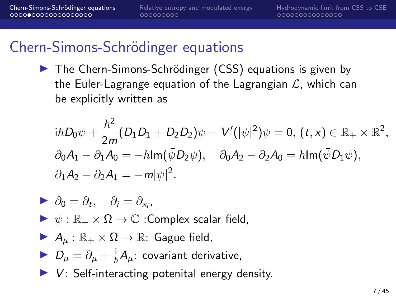▶ The Chern-Simons-Schrödinger (CSS) equations is given by the Euler-Lagrange equation of the Lagrangian  $\mathcal{L}$ , which can be explicitly written as

$$
i\hbar D_0 \psi + \frac{\hbar^2}{2m} (D_1 D_1 + D_2 D_2) \psi - V'(|\psi|^2) \psi = 0, (t, x) \in \mathbb{R}_+ \times \mathbb{R}^2,
$$
  
\n
$$
\partial_0 A_1 - \partial_1 A_0 = -\hbar \text{Im}(\bar{\psi} D_2 \psi), \quad \partial_0 A_2 - \partial_2 A_0 = \hbar \text{Im}(\bar{\psi} D_1 \psi),
$$
  
\n
$$
\partial_1 A_2 - \partial_2 A_1 = -m|\psi|^2.
$$

$$
\blacktriangleright \; \partial_0 = \partial_t, \quad \partial_i = \partial_{x_i},
$$

 $\triangleright \psi : \mathbb{R}_+ \times \Omega \to \mathbb{C}$  : Complex scalar field,

$$
\blacktriangleright A_{\mu} : \mathbb{R}_+ \times \Omega \to \mathbb{R} \colon \text{Gague field},
$$

- ►  $D_{\mu} = \partial_{\mu} + \frac{i}{\hbar} A_{\mu}$ : covariant derivative,
- $\triangleright$  V: Self-interacting potenital energy density.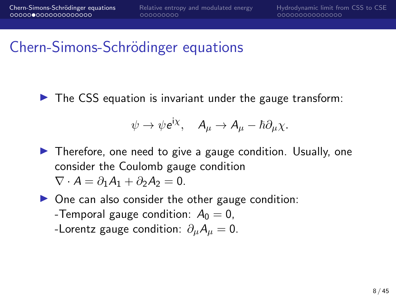$\triangleright$  The CSS equation is invariant under the gauge transform:

$$
\psi \to \psi e^{i\chi}, \quad A_{\mu} \to A_{\mu} - \hbar \partial_{\mu} \chi.
$$

 $\blacktriangleright$  Therefore, one need to give a gauge condition. Usually, one consider the Coulomb gauge condition  $\nabla \cdot A = \partial_1 A_1 + \partial_2 A_2 = 0.$ 

 $\triangleright$  One can also consider the other gauge condition: -Temporal gauge condition:  $A_0 = 0$ , -Lorentz gauge condition:  $\partial_{\mu}A_{\mu}=0$ .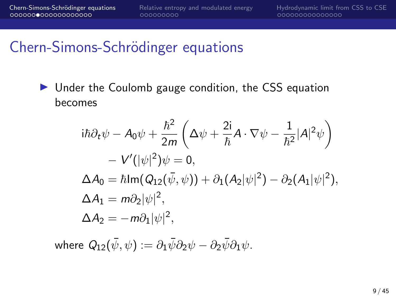$\triangleright$  Under the Coulomb gauge condition, the CSS equation becomes

$$
i\hbar \partial_t \psi - A_0 \psi + \frac{\hbar^2}{2m} \left( \Delta \psi + \frac{2i}{\hbar} A \cdot \nabla \psi - \frac{1}{\hbar^2} |A|^2 \psi \right)
$$
  
-  $V'(|\psi|^2) \psi = 0,$   

$$
\Delta A_0 = \hbar \text{Im} (Q_{12}(\bar{\psi}, \psi)) + \partial_1 (A_2 |\psi|^2) - \partial_2 (A_1 |\psi|^2),
$$
  

$$
\Delta A_1 = m \partial_2 |\psi|^2,
$$
  

$$
\Delta A_2 = -m \partial_1 |\psi|^2,
$$

where  $Q_{12}(\bar{\psi},\psi):=\partial_1\bar{\psi}\partial_2\psi-\partial_2\bar{\psi}\partial_1\psi.$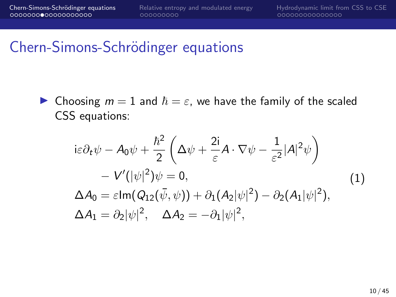**In Choosing**  $m = 1$  **and**  $\hbar = \varepsilon$ **, we have the family of the scaled** CSS equations:

<span id="page-9-0"></span>
$$
i\varepsilon \partial_t \psi - A_0 \psi + \frac{\hbar^2}{2} \left( \Delta \psi + \frac{2i}{\varepsilon} A \cdot \nabla \psi - \frac{1}{\varepsilon^2} |A|^2 \psi \right) - V'(|\psi|^2) \psi = 0, \Delta A_0 = \varepsilon \text{Im}(Q_{12}(\bar{\psi}, \psi)) + \partial_1 (A_2 |\psi|^2) - \partial_2 (A_1 |\psi|^2), \Delta A_1 = \partial_2 |\psi|^2, \quad \Delta A_2 = -\partial_1 |\psi|^2,
$$
\n(1)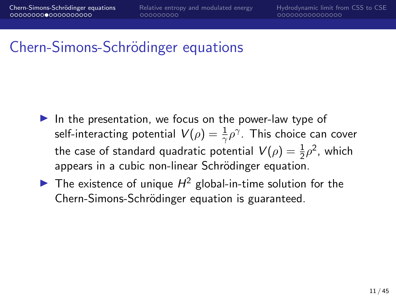- $\blacktriangleright$  In the presentation, we focus on the power-law type of self-interacting potential  $\mathit{V}(\rho)=\frac{1}{\gamma}\rho^\gamma.$  This choice can cover the case of standard quadratic potential  $\mathcal{V}(\rho)=\frac{1}{2}\rho^2$ , which appears in a cubic non-linear Schrödinger equation.
- The existence of unique  $H^2$  global-in-time solution for the Chern-Simons-Schrödinger equation is guaranteed.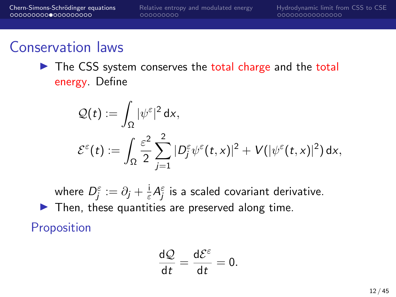#### Conservation laws

 $\triangleright$  The CSS system conserves the total charge and the total energy. Define

$$
Q(t) := \int_{\Omega} |\psi^{\varepsilon}|^2 dx,
$$
  

$$
\mathcal{E}^{\varepsilon}(t) := \int_{\Omega} \frac{\varepsilon^2}{2} \sum_{j=1}^2 |D^{\varepsilon}_j \psi^{\varepsilon}(t,x)|^2 + V(|\psi^{\varepsilon}(t,x)|^2) dx,
$$

where  $D_j^\varepsilon:=\partial_j+\frac{\mathrm{i}}{\varepsilon}$  $\frac{\mathrm{i}}{\varepsilon}A_{j}^{\varepsilon}$  is a scaled covariant derivative.  $\blacktriangleright$  Then, these quantities are preserved along time.

**Proposition** 

$$
\frac{\mathrm{d} \mathcal{Q}}{\mathrm{d} t} = \frac{\mathrm{d} \mathcal{E}^\varepsilon}{\mathrm{d} t} = 0.
$$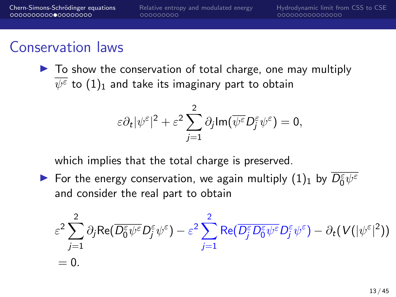#### Conservation laws

 $\triangleright$  To show the conservation of total charge, one may multiply  $\psi^\varepsilon$  to  $(1)_1$  $(1)_1$  and take its imaginary part to obtain

$$
\varepsilon \partial_t |\psi^{\varepsilon}|^2 + \varepsilon^2 \sum_{j=1}^2 \partial_j \text{Im}(\overline{\psi^{\varepsilon}} D_j^{\varepsilon} \psi^{\varepsilon}) = 0,
$$

which implies that the total charge is preserved.

For the energy conservation, we again multiply  $(1)_1$  $(1)_1$  by  $\overline{D_0^{\varepsilon}\psi^{\varepsilon}}$ and consider the real part to obtain

$$
\varepsilon^2 \sum_{j=1}^2 \partial_j \text{Re}(\overline{D_0^{\varepsilon}\psi^{\varepsilon}}D_j^{\varepsilon}\psi^{\varepsilon}) - \varepsilon^2 \sum_{j=1}^2 \text{Re}(\overline{D_j^{\varepsilon}D_0^{\varepsilon}\psi^{\varepsilon}}D_j^{\varepsilon}\psi^{\varepsilon}) - \partial_t(V(|\psi^{\varepsilon}|^2))
$$
  
= 0.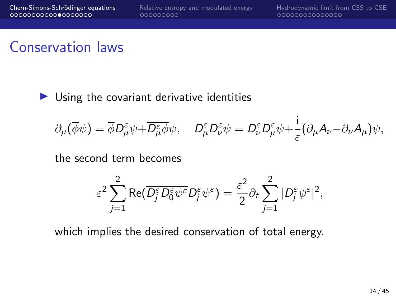i

### Conservation laws

 $\triangleright$  Using the covariant derivative identities

$$
\partial_{\mu}(\overline{\phi}\psi) = \overline{\phi}D_{\mu}^{\varepsilon}\psi + \overline{D_{\mu}^{\varepsilon}\phi}\psi, \quad D_{\mu}^{\varepsilon}D_{\nu}^{\varepsilon}\psi = D_{\nu}^{\varepsilon}D_{\mu}^{\varepsilon}\psi + \frac{1}{\varepsilon}(\partial_{\mu}A_{\nu} - \partial_{\nu}A_{\mu})\psi,
$$

the second term becomes

$$
\varepsilon^2 \sum_{j=1}^2 \text{Re}(\overline{D_j^{\varepsilon} D_0^{\varepsilon} \psi^{\varepsilon}} D_j^{\varepsilon} \psi^{\varepsilon}) = \frac{\varepsilon^2}{2} \partial_t \sum_{j=1}^2 |D_j^{\varepsilon} \psi^{\varepsilon}|^2,
$$

which implies the desired conservation of total energy.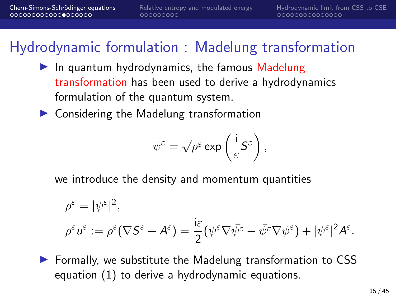## Hydrodynamic formulation : Madelung transformation

- $\blacktriangleright$  In quantum hydrodynamics, the famous Madelung transformation has been used to derive a hydrodynamics formulation of the quantum system.
- $\blacktriangleright$  Considering the Madelung transformation

$$
\psi^\varepsilon = \sqrt{\rho^\varepsilon} \exp\left(\frac{\mathsf{i}}{\varepsilon} \mathsf{S}^\varepsilon\right),
$$

we introduce the density and momentum quantities

$$
\rho^{\varepsilon} = |\psi^{\varepsilon}|^2,
$$
  

$$
\rho^{\varepsilon} u^{\varepsilon} := \rho^{\varepsilon} (\nabla S^{\varepsilon} + A^{\varepsilon}) = \frac{i\varepsilon}{2} (\psi^{\varepsilon} \nabla \bar{\psi}^{\varepsilon} - \bar{\psi}^{\varepsilon} \nabla \psi^{\varepsilon}) + |\psi^{\varepsilon}|^2 A^{\varepsilon}.
$$

 $\triangleright$  Formally, we substitute the Madelung transformation to CSS equation [\(1\)](#page-9-0) to derive a hydrodynamic equations.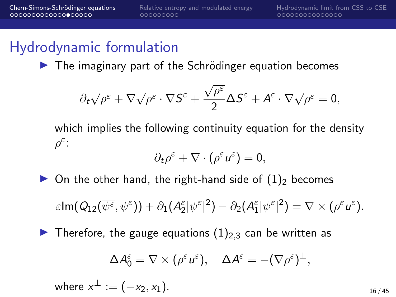$\triangleright$  The imaginary part of the Schrödinger equation becomes

$$
\partial_t \sqrt{\rho^\varepsilon} + \nabla \sqrt{\rho^\varepsilon} \cdot \nabla S^\varepsilon + \frac{\sqrt{\rho^\varepsilon}}{2} \Delta S^\varepsilon + A^\varepsilon \cdot \nabla \sqrt{\rho^\varepsilon} = 0,
$$

which implies the following continuity equation for the density  $\rho^{\varepsilon}$ :

$$
\partial_t \rho^{\varepsilon} + \nabla \cdot (\rho^{\varepsilon} u^{\varepsilon}) = 0,
$$

 $\triangleright$  On the other hand, the right-hand side of  $(1)_2$  $(1)_2$  becomes

$$
\varepsilon \text{Im}(Q_{12}(\overline{\psi^{\varepsilon}}, \psi^{\varepsilon})) + \partial_1(A_2^{\varepsilon}|\psi^{\varepsilon}|^2) - \partial_2(A_1^{\varepsilon}|\psi^{\varepsilon}|^2) = \nabla \times (\rho^{\varepsilon} u^{\varepsilon}).
$$

 $\blacktriangleright$  Therefore, the gauge equations  $(1)_{2,3}$  $(1)_{2,3}$  can be written as

$$
\Delta A_0^{\varepsilon} = \nabla \times (\rho^{\varepsilon} u^{\varepsilon}), \quad \Delta A^{\varepsilon} = -(\nabla \rho^{\varepsilon})^{\perp},
$$

where 
$$
x^{\perp} := (-x_2, x_1)
$$
.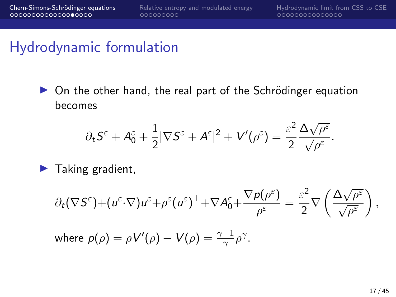$\triangleright$  On the other hand, the real part of the Schrödinger equation becomes

$$
\partial_t S^\varepsilon + A^\varepsilon_0 + \frac{1}{2} |\nabla S^\varepsilon + A^\varepsilon|^2 + V'(\rho^\varepsilon) = \frac{\varepsilon^2}{2} \frac{\Delta \sqrt{\rho^\varepsilon}}{\sqrt{\rho^\varepsilon}}.
$$

 $\blacktriangleright$  Taking gradient,

$$
\partial_t (\nabla S^{\varepsilon}) + (u^{\varepsilon} \cdot \nabla) u^{\varepsilon} + \rho^{\varepsilon} (u^{\varepsilon})^{\perp} + \nabla A_0^{\varepsilon} + \frac{\nabla p(\rho^{\varepsilon})}{\rho^{\varepsilon}} = \frac{\varepsilon^2}{2} \nabla \left( \frac{\Delta \sqrt{\rho^{\varepsilon}}}{\sqrt{\rho^{\varepsilon}}} \right),
$$

where  $p(\rho) = \rho V'(\rho) - V(\rho) = \frac{\gamma - 1}{\gamma} \rho^{\gamma}$ .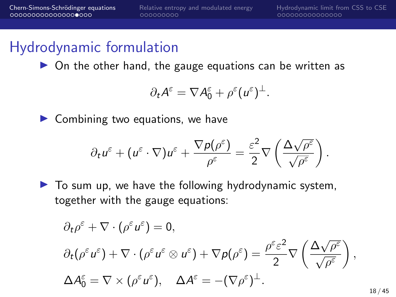$\triangleright$  On the other hand, the gauge equations can be written as

$$
\partial_t A^{\varepsilon} = \nabla A_0^{\varepsilon} + \rho^{\varepsilon} (u^{\varepsilon})^{\perp}.
$$

 $\blacktriangleright$  Combining two equations, we have

$$
\partial_t u^{\varepsilon} + (u^{\varepsilon} \cdot \nabla) u^{\varepsilon} + \frac{\nabla p(\rho^{\varepsilon})}{\rho^{\varepsilon}} = \frac{\varepsilon^2}{2} \nabla \left( \frac{\Delta \sqrt{\rho^{\varepsilon}}}{\sqrt{\rho^{\varepsilon}}} \right).
$$

 $\blacktriangleright$  To sum up, we have the following hydrodynamic system, together with the gauge equations:

$$
\partial_t \rho^{\varepsilon} + \nabla \cdot (\rho^{\varepsilon} u^{\varepsilon}) = 0,
$$
  
\n
$$
\partial_t (\rho^{\varepsilon} u^{\varepsilon}) + \nabla \cdot (\rho^{\varepsilon} u^{\varepsilon} \otimes u^{\varepsilon}) + \nabla \rho (\rho^{\varepsilon}) = \frac{\rho^{\varepsilon} \varepsilon^2}{2} \nabla \left( \frac{\Delta \sqrt{\rho^{\varepsilon}}}{\sqrt{\rho^{\varepsilon}}} \right),
$$
  
\n
$$
\Delta A_0^{\varepsilon} = \nabla \times (\rho^{\varepsilon} u^{\varepsilon}), \quad \Delta A^{\varepsilon} = -(\nabla \rho^{\varepsilon})^{\perp}.
$$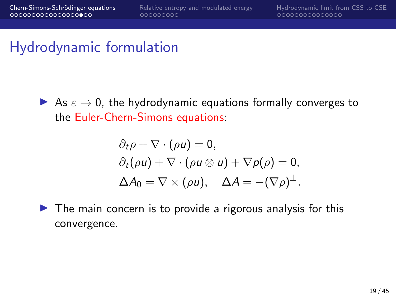As  $\varepsilon \to 0$ , the hydrodynamic equations formally converges to the Euler-Chern-Simons equations:

$$
\partial_t \rho + \nabla \cdot (\rho u) = 0,
$$
  
\n
$$
\partial_t (\rho u) + \nabla \cdot (\rho u \otimes u) + \nabla p(\rho) = 0,
$$
  
\n
$$
\Delta A_0 = \nabla \times (\rho u), \quad \Delta A = -(\nabla \rho)^{\perp}.
$$

 $\triangleright$  The main concern is to provide a rigorous analysis for this convergence.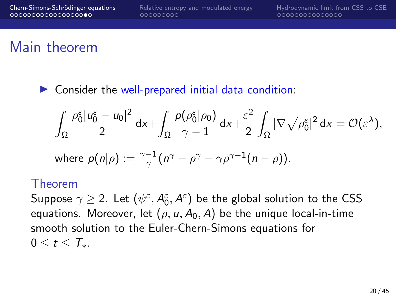## Main theorem

 $\triangleright$  Consider the well-prepared initial data condition:

$$
\int_{\Omega}\frac{\rho_0^\varepsilon |u_0^\varepsilon-u_0|^2}{2}\,dx+\int_{\Omega}\frac{\rho(\rho_0^\varepsilon|\rho_0)}{\gamma-1}\,dx+\frac{\varepsilon^2}{2}\int_{\Omega}|\nabla\sqrt{\rho_0^\varepsilon}|^2\,dx=\mathcal{O}(\varepsilon^\lambda),
$$

where 
$$
p(n|\rho) := \frac{\gamma - 1}{\gamma} (n^{\gamma} - \rho^{\gamma} - \gamma \rho^{\gamma - 1} (n - \rho)).
$$

#### Theorem

Suppose  $\gamma\geq 2.$  Let  $(\psi^\varepsilon,A^\varepsilon_0,A^\varepsilon)$  be the global solution to the CSS equations. Moreover, let  $(\rho, u, A_0, A)$  be the unique local-in-time smooth solution to the Euler-Chern-Simons equations for  $0 \le t \le T_*$ .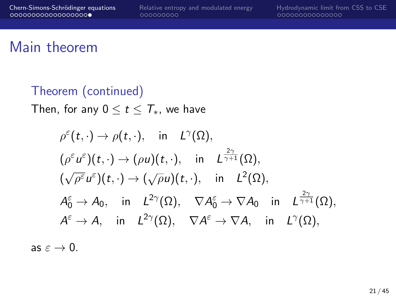## Main theorem

Theorem (continued) Then, for any  $0 \le t \le T_*$ , we have

$$
\rho^{\varepsilon}(t,\cdot) \to \rho(t,\cdot), \quad \text{in} \quad L^{\gamma}(\Omega),
$$
  
\n
$$
(\rho^{\varepsilon} u^{\varepsilon})(t,\cdot) \to (\rho u)(t,\cdot), \quad \text{in} \quad L^{\frac{2\gamma}{\gamma+1}}(\Omega),
$$
  
\n
$$
(\sqrt{\rho^{\varepsilon}} u^{\varepsilon})(t,\cdot) \to (\sqrt{\rho} u)(t,\cdot), \quad \text{in} \quad L^{2}(\Omega),
$$
  
\n
$$
A_{0}^{\varepsilon} \to A_{0}, \quad \text{in} \quad L^{2\gamma}(\Omega), \quad \nabla A_{0}^{\varepsilon} \to \nabla A_{0} \quad \text{in} \quad L^{\frac{2\gamma}{\gamma+1}}(\Omega),
$$
  
\n
$$
A^{\varepsilon} \to A, \quad \text{in} \quad L^{2\gamma}(\Omega), \quad \nabla A^{\varepsilon} \to \nabla A, \quad \text{in} \quad L^{\gamma}(\Omega),
$$

as  $\varepsilon \to 0$ .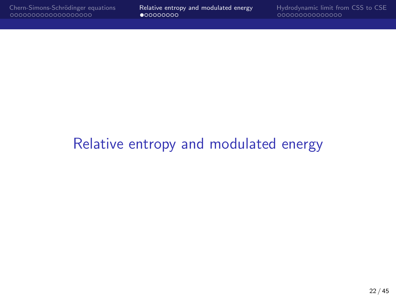# <span id="page-21-0"></span>[Relative entropy and modulated energy](#page-21-0)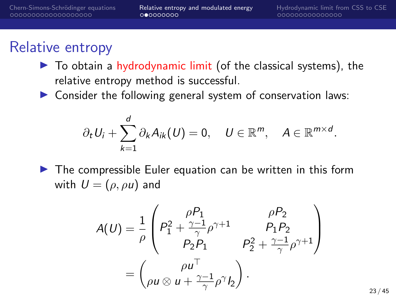## Relative entropy

- $\triangleright$  To obtain a hydrodynamic limit (of the classical systems), the relative entropy method is successful.
- $\triangleright$  Consider the following general system of conservation laws:

$$
\partial_t U_i + \sum_{k=1}^d \partial_k A_{ik}(U) = 0, \quad U \in \mathbb{R}^m, \quad A \in \mathbb{R}^{m \times d}.
$$

 $\triangleright$  The compressible Euler equation can be written in this form with  $U = (\rho, \rho u)$  and

$$
A(U) = \frac{1}{\rho} \begin{pmatrix} \rho P_1 & \rho P_2 \\ P_1^2 + \frac{\gamma - 1}{\gamma} \rho^{\gamma + 1} & P_1 P_2 \\ P_2 P_1 & P_2^2 + \frac{\gamma - 1}{\gamma} \rho^{\gamma + 1} \end{pmatrix}
$$

$$
= \begin{pmatrix} \rho u^\top \\ \rho u \otimes u + \frac{\gamma - 1}{\gamma} \rho^\gamma I_2 \end{pmatrix}.
$$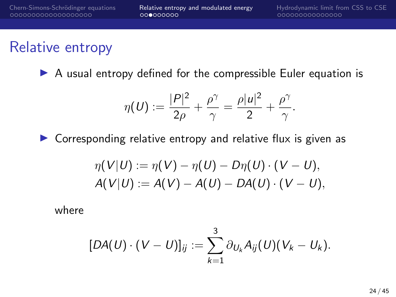## Relative entropy

 $\triangleright$  A usual entropy defined for the compressible Euler equation is

$$
\eta(U) := \frac{|P|^2}{2\rho} + \frac{\rho^\gamma}{\gamma} = \frac{\rho |u|^2}{2} + \frac{\rho^\gamma}{\gamma}.
$$

 $\triangleright$  Corresponding relative entropy and relative flux is given as

$$
\eta(V|U) := \eta(V) - \eta(U) - D\eta(U) \cdot (V - U), \nA(V|U) := A(V) - A(U) - D A(U) \cdot (V - U),
$$

where

$$
[DA(U)\cdot (V-U)]_{ij} := \sum_{k=1}^3 \partial_{U_k} A_{ij}(U)(V_k-U_k).
$$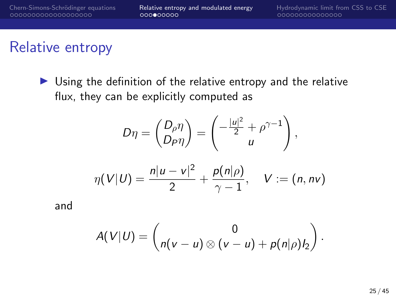## Relative entropy

 $\triangleright$  Using the definition of the relative entropy and the relative flux, they can be explicitly computed as

$$
D\eta = \begin{pmatrix} D_\rho \eta \\ D_P \eta \end{pmatrix} = \begin{pmatrix} -\frac{|u|^2}{2} + \rho^{\gamma - 1} \\ u \end{pmatrix},
$$

$$
\eta(V|U) = \frac{n|u - v|^2}{2} + \frac{p(n|\rho)}{\gamma - 1}, \quad V := (n, nv)
$$

and

$$
A(V|U) = \begin{pmatrix} 0 \\ n(v-u) \otimes (v-u) + p(n|\rho)l_2 \end{pmatrix}.
$$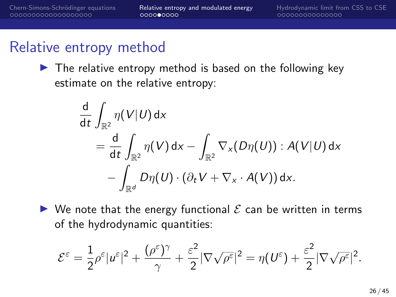## Relative entropy method

 $\blacktriangleright$  The relative entropy method is based on the following key estimate on the relative entropy:

$$
\frac{d}{dt} \int_{\mathbb{R}^2} \eta(V|U) dx \n= \frac{d}{dt} \int_{\mathbb{R}^2} \eta(V) dx - \int_{\mathbb{R}^2} \nabla_x(D\eta(U)) : A(V|U) dx \n- \int_{\mathbb{R}^d} D\eta(U) \cdot (\partial_t V + \nabla_x \cdot A(V)) dx.
$$

 $\triangleright$  We note that the energy functional  $\mathcal E$  can be written in terms of the hydrodynamic quantities:

$$
\mathcal{E}^{\varepsilon} = \frac{1}{2}\rho^{\varepsilon}|\boldsymbol{u}^{\varepsilon}|^{2} + \frac{(\rho^{\varepsilon})^{\gamma}}{\gamma} + \frac{\varepsilon^{2}}{2}|\nabla\sqrt{\rho^{\varepsilon}}|^{2} = \eta(\boldsymbol{U}^{\varepsilon}) + \frac{\varepsilon^{2}}{2}|\nabla\sqrt{\rho^{\varepsilon}}|^{2}.
$$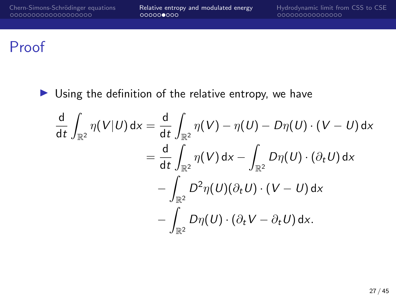### Proof

 $\triangleright$  Using the definition of the relative entropy, we have

$$
\frac{d}{dt} \int_{\mathbb{R}^2} \eta(V|U) dx = \frac{d}{dt} \int_{\mathbb{R}^2} \eta(V) - \eta(U) - D\eta(U) \cdot (V - U) dx
$$

$$
= \frac{d}{dt} \int_{\mathbb{R}^2} \eta(V) dx - \int_{\mathbb{R}^2} D\eta(U) \cdot (\partial_t U) dx
$$

$$
- \int_{\mathbb{R}^2} D^2 \eta(U) (\partial_t U) \cdot (V - U) dx
$$

$$
- \int_{\mathbb{R}^2} D\eta(U) \cdot (\partial_t V - \partial_t U) dx.
$$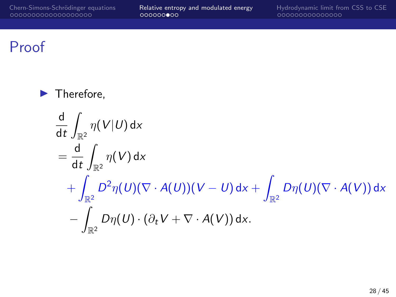### Proof

 $\blacktriangleright$  Therefore, d dt Z  $\int_{\mathbb{R}^2} \eta(V|U)\,\mathsf{d} x$  $=\frac{d}{1}$ dt Z  $\frac{1}{\mathbb{R}^2} \eta(V)$  dx  $+$  |  $\int_{\mathbb{R}^2} D^2 \eta (U) (\nabla \cdot A(U)) (V-U) \, \mathrm{d} x + \int$  $\int_{\mathbb{R}^2} D\eta(U) (\nabla \cdot A(V)) \, \mathrm{d} x$  $-1$  $\int\limits_{\mathbb{R}^2} D\eta(U) \cdot \left(\partial_t V + \nabla \cdot A(V)\right) \mathsf{d} \mathsf{x}.$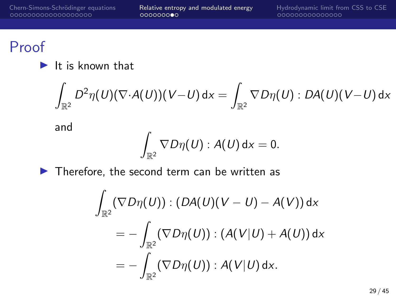## Proof

#### $\blacktriangleright$  It is known that

$$
\int_{\mathbb{R}^2} D^2\eta(U)(\nabla\cdot\mathcal{A}(U))(V-U)\,\mathsf{d} x = \int_{\mathbb{R}^2} \nabla D\eta(U): D\mathcal{A}(U)(V-U)\,\mathsf{d} x
$$

and

$$
\int_{\mathbb{R}^2} \nabla D\eta(U) : A(U) \, \mathrm{d} x = 0.
$$

 $\blacktriangleright$  Therefore, the second term can be written as

$$
\int_{\mathbb{R}^2} (\nabla D\eta(U)) : (DA(U)(V - U) - A(V)) dx
$$
\n
$$
= -\int_{\mathbb{R}^2} (\nabla D\eta(U)) : (A(V|U) + A(U)) dx
$$
\n
$$
= -\int_{\mathbb{R}^2} (\nabla D\eta(U)) : A(V|U) dx.
$$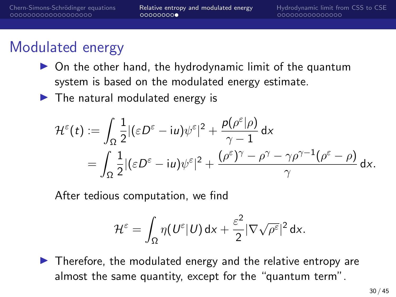## Modulated energy

- $\triangleright$  On the other hand, the hydrodynamic limit of the quantum system is based on the modulated energy estimate.
- $\blacktriangleright$  The natural modulated energy is

$$
\mathcal{H}^{\varepsilon}(t) := \int_{\Omega} \frac{1}{2} |(\varepsilon D^{\varepsilon} - i u) \psi^{\varepsilon}|^{2} + \frac{p(\rho^{\varepsilon}|\rho)}{\gamma - 1} dx
$$
  
= 
$$
\int_{\Omega} \frac{1}{2} |(\varepsilon D^{\varepsilon} - i u) \psi^{\varepsilon}|^{2} + \frac{(\rho^{\varepsilon})^{\gamma} - \rho^{\gamma} - \gamma \rho^{\gamma - 1} (\rho^{\varepsilon} - \rho)}{\gamma} dx.
$$

After tedious computation, we find

$$
\mathcal{H}^{\varepsilon} = \int_{\Omega} \eta(U^{\varepsilon}|U) dx + \frac{\varepsilon^2}{2} |\nabla \sqrt{\rho^{\varepsilon}}|^2 dx.
$$

 $\triangleright$  Therefore, the modulated energy and the relative entropy are almost the same quantity, except for the "quantum term".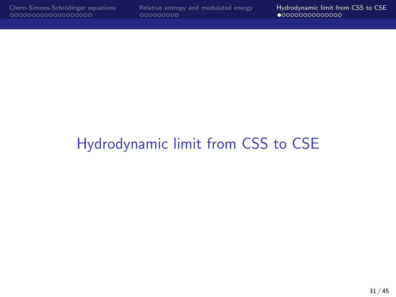# <span id="page-30-0"></span>[Hydrodynamic limit from CSS to CSE](#page-30-0)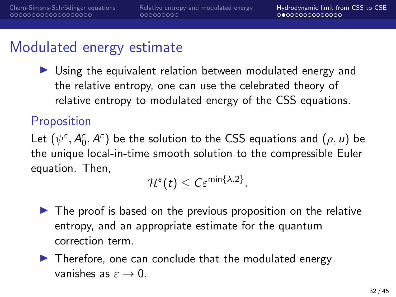#### Modulated energy estimate

 $\triangleright$  Using the equivalent relation between modulated energy and the relative entropy, one can use the celebrated theory of relative entropy to modulated energy of the CSS equations.

#### **Proposition**

Let  $(\psi^{\varepsilon},A_0^{\varepsilon},A^{\varepsilon})$  be the solution to the CSS equations and  $(\rho,u)$  be the unique local-in-time smooth solution to the compressible Euler equation. Then,

 $\mathcal{H}^\varepsilon(t)\leq \mathcal{C}\varepsilon^{\min\{\lambda,2\}}.$ 

- $\blacktriangleright$  The proof is based on the previous proposition on the relative entropy, and an appropriate estimate for the quantum correction term.
- $\blacktriangleright$  Therefore, one can conclude that the modulated energy vanishes as  $\varepsilon \to 0$ .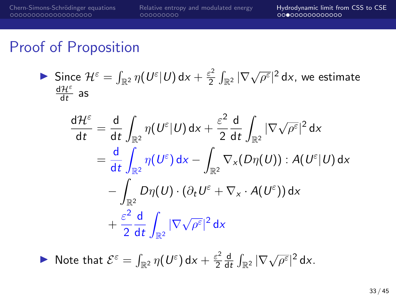$$
\sum_{\substack{\text{d} \mathcal{H}^{\varepsilon} \\ \text{d}t}} \text{Sine } \mathcal{H}^{\varepsilon} = \int_{\mathbb{R}^2} \eta(U^{\varepsilon}|U) \, \text{d}x + \frac{\varepsilon^2}{2} \int_{\mathbb{R}^2} |\nabla \sqrt{\rho^{\varepsilon}}|^2 \, \text{d}x, \text{ we estimate}
$$

$$
\frac{d\mathcal{H}^{\varepsilon}}{dt} = \frac{d}{dt} \int_{\mathbb{R}^{2}} \eta(U^{\varepsilon}|U) dx + \frac{\varepsilon^{2}}{2} \frac{d}{dt} \int_{\mathbb{R}^{2}} |\nabla \sqrt{\rho^{\varepsilon}}|^{2} dx
$$

$$
= \frac{d}{dt} \int_{\mathbb{R}^{2}} \eta(U^{\varepsilon}) dx - \int_{\mathbb{R}^{2}} \nabla_{x} (D\eta(U)) : A(U^{\varepsilon}|U) dx
$$

$$
- \int_{\mathbb{R}^{2}} D\eta(U) \cdot (\partial_{t} U^{\varepsilon} + \nabla_{x} \cdot A(U^{\varepsilon})) dx
$$

$$
+ \frac{\varepsilon^{2}}{2} \frac{d}{dt} \int_{\mathbb{R}^{2}} |\nabla \sqrt{\rho^{\varepsilon}}|^{2} dx
$$

 $\blacktriangleright$  Note that  $\mathcal{E}^{\varepsilon} = \int_{\mathbb{R}^2} \eta(U^{\varepsilon}) dx + \frac{\varepsilon^2}{2}$ 2 d  $\frac{d}{dt} \int_{\mathbb{R}^2} |\nabla \sqrt{\rho^{\epsilon}}|^2 dx.$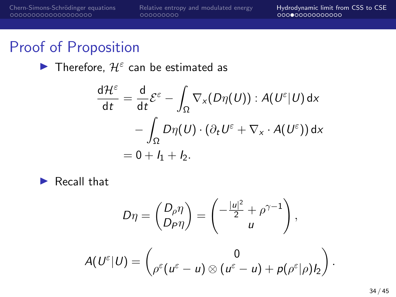Therefore,  $\mathcal{H}^{\varepsilon}$  can be estimated as

$$
\frac{d\mathcal{H}^{\varepsilon}}{dt} = \frac{d}{dt}\mathcal{E}^{\varepsilon} - \int_{\Omega} \nabla_{x}(D\eta(U)) : A(U^{\varepsilon}|U) dx
$$

$$
- \int_{\Omega} D\eta(U) \cdot (\partial_{t}U^{\varepsilon} + \nabla_{x} \cdot A(U^{\varepsilon})) dx
$$

$$
= 0 + I_{1} + I_{2}.
$$

 $\blacktriangleright$  Recall that

$$
D\eta = \begin{pmatrix} D_{\rho}\eta \\ D_{P}\eta \end{pmatrix} = \begin{pmatrix} -\frac{|u|^2}{2} + \rho^{\gamma-1} \\ u \end{pmatrix},
$$

$$
A(U^{\varepsilon}|U) = \begin{pmatrix} 0 \\ \rho^{\varepsilon}(u^{\varepsilon} - u) \otimes (u^{\varepsilon} - u) + p(\rho^{\varepsilon}|\rho)l_2 \end{pmatrix}.
$$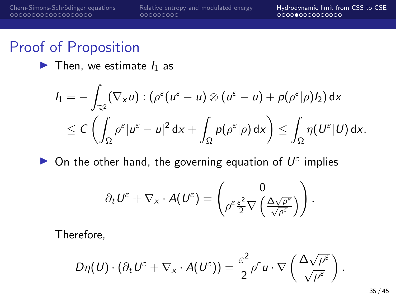$\blacktriangleright$  Then, we estimate  $I_1$  as

$$
I_1 = -\int_{\mathbb{R}^2} (\nabla_x u) : (\rho^{\varepsilon} (u^{\varepsilon} - u) \otimes (u^{\varepsilon} - u) + p(\rho^{\varepsilon} | \rho) I_2) dx
$$
  

$$
\leq C \left( \int_{\Omega} \rho^{\varepsilon} |u^{\varepsilon} - u|^2 dx + \int_{\Omega} p(\rho^{\varepsilon} | \rho) dx \right) \leq \int_{\Omega} \eta(U^{\varepsilon} | U) dx.
$$

 $\triangleright$  On the other hand, the governing equation of  $U^{\varepsilon}$  implies

$$
\partial_t U^\varepsilon + \nabla_x \cdot A(U^\varepsilon) = \begin{pmatrix} 0 \\ \rho^\varepsilon \frac{\varepsilon^2}{2} \nabla \left( \frac{\Delta \sqrt{\rho^\varepsilon}}{\sqrt{\rho^\varepsilon}} \right) \end{pmatrix}.
$$

Therefore,

$$
D\eta(U)\cdot(\partial_tU^\varepsilon+\nabla_x\cdot A(U^\varepsilon))=\frac{\varepsilon^2}{2}\rho^\varepsilon u\cdot\nabla\left(\frac{\Delta\sqrt{\rho^\varepsilon}}{\sqrt{\rho^\varepsilon}}\right).
$$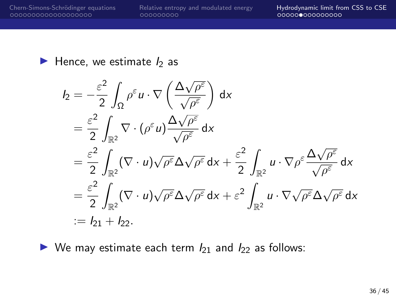[Chern-Simons-Schr¨odinger equations](#page-2-0) [Relative entropy and modulated energy](#page-21-0) [Hydrodynamic limit from CSS to CSE](#page-30-0)

#### $\blacktriangleright$  Hence, we estimate  $I_2$  as

$$
I_2 = -\frac{\varepsilon^2}{2} \int_{\Omega} \rho^{\varepsilon} u \cdot \nabla \left( \frac{\Delta \sqrt{\rho^{\varepsilon}}}{\sqrt{\rho^{\varepsilon}}} \right) dx
$$
  
\n
$$
= \frac{\varepsilon^2}{2} \int_{\mathbb{R}^2} \nabla \cdot (\rho^{\varepsilon} u) \frac{\Delta \sqrt{\rho^{\varepsilon}}}{\sqrt{\rho^{\varepsilon}}} dx
$$
  
\n
$$
= \frac{\varepsilon^2}{2} \int_{\mathbb{R}^2} (\nabla \cdot u) \sqrt{\rho^{\varepsilon}} \Delta \sqrt{\rho^{\varepsilon}} dx + \frac{\varepsilon^2}{2} \int_{\mathbb{R}^2} u \cdot \nabla \rho^{\varepsilon} \frac{\Delta \sqrt{\rho^{\varepsilon}}}{\sqrt{\rho^{\varepsilon}}} dx
$$
  
\n
$$
= \frac{\varepsilon^2}{2} \int_{\mathbb{R}^2} (\nabla \cdot u) \sqrt{\rho^{\varepsilon}} \Delta \sqrt{\rho^{\varepsilon}} dx + \varepsilon^2 \int_{\mathbb{R}^2} u \cdot \nabla \sqrt{\rho^{\varepsilon}} \Delta \sqrt{\rho^{\varepsilon}} dx
$$
  
\n
$$
:= I_{21} + I_{22}.
$$

 $\triangleright$  We may estimate each term  $I_{21}$  and  $I_{22}$  as follows: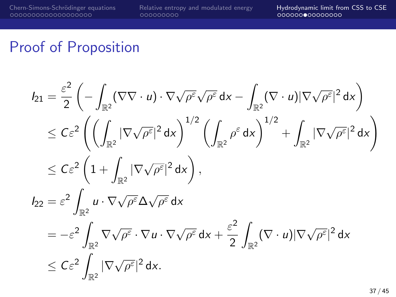[Chern-Simons-Schr¨odinger equations](#page-2-0) [Relative entropy and modulated energy](#page-21-0) [Hydrodynamic limit from CSS to CSE](#page-30-0)

#### Proof of Proposition

$$
I_{21} = \frac{\varepsilon^2}{2} \left( - \int_{\mathbb{R}^2} (\nabla \nabla \cdot u) \cdot \nabla \sqrt{\rho^{\varepsilon}} \sqrt{\rho^{\varepsilon}} dx - \int_{\mathbb{R}^2} (\nabla \cdot u) |\nabla \sqrt{\rho^{\varepsilon}}|^2 dx \right)
$$
  
\n
$$
\leq C \varepsilon^2 \left( \left( \int_{\mathbb{R}^2} |\nabla \sqrt{\rho^{\varepsilon}}|^2 dx \right)^{1/2} \left( \int_{\mathbb{R}^2} \rho^{\varepsilon} dx \right)^{1/2} + \int_{\mathbb{R}^2} |\nabla \sqrt{\rho^{\varepsilon}}|^2 dx \right)
$$
  
\n
$$
\leq C \varepsilon^2 \left( 1 + \int_{\mathbb{R}^2} |\nabla \sqrt{\rho^{\varepsilon}}|^2 dx \right),
$$
  
\n
$$
I_{22} = \varepsilon^2 \int_{\mathbb{R}^2} u \cdot \nabla \sqrt{\rho^{\varepsilon}} \Delta \sqrt{\rho^{\varepsilon}} dx
$$
  
\n
$$
= -\varepsilon^2 \int_{\mathbb{R}^2} \nabla \sqrt{\rho^{\varepsilon}} \cdot \nabla u \cdot \nabla \sqrt{\rho^{\varepsilon}} dx + \frac{\varepsilon^2}{2} \int_{\mathbb{R}^2} (\nabla \cdot u) |\nabla \sqrt{\rho^{\varepsilon}}|^2 dx
$$
  
\n
$$
\leq C \varepsilon^2 \int_{\mathbb{R}^2} |\nabla \sqrt{\rho^{\varepsilon}}|^2 dx.
$$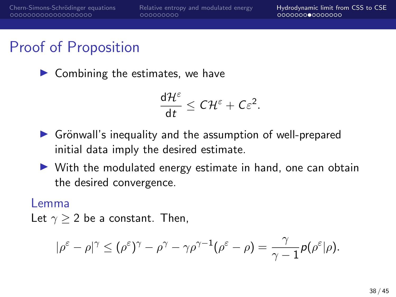$\blacktriangleright$  Combining the estimates, we have

$$
\frac{d\mathcal{H}^{\varepsilon}}{dt}\leq C\mathcal{H}^{\varepsilon}+C\varepsilon^2.
$$

- $\triangleright$  Grönwall's inequality and the assumption of well-prepared initial data imply the desired estimate.
- $\triangleright$  With the modulated energy estimate in hand, one can obtain the desired convergence.

#### Lemma

Let  $\gamma > 2$  be a constant. Then,

$$
|\rho^{\varepsilon} - \rho|^{\gamma} \leq (\rho^{\varepsilon})^{\gamma} - \rho^{\gamma} - \gamma \rho^{\gamma - 1} (\rho^{\varepsilon} - \rho) = \frac{\gamma}{\gamma - 1} p(\rho^{\varepsilon}|\rho).
$$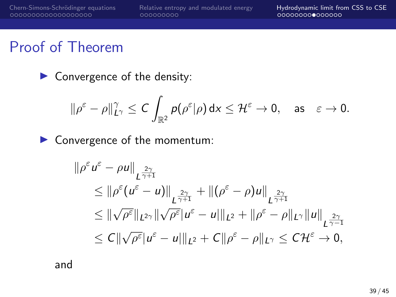### Proof of Theorem

 $\triangleright$  Convergence of the density:

$$
\|\rho^\varepsilon-\rho\|_{L^\gamma}^\gamma\leq C\int_{\mathbb{R}^2}p(\rho^\varepsilon|\rho)\,dx\leq \mathcal{H}^\varepsilon\to 0,\quad\text{as}\quad\varepsilon\to 0.
$$

▶ Convergence of the momentum:

$$
\|\rho^{\varepsilon} u^{\varepsilon} - \rho u\|_{L^{\frac{2\gamma}{\gamma+1}}} \n\leq \|\rho^{\varepsilon} (u^{\varepsilon} - u)\|_{L^{\frac{2\gamma}{\gamma+1}}} + \|(\rho^{\varepsilon} - \rho)u\|_{L^{\frac{2\gamma}{\gamma+1}}} \n\leq \|\sqrt{\rho^{\varepsilon}}\|_{L^{2\gamma}} \|\sqrt{\rho^{\varepsilon}}|u^{\varepsilon} - u\|_{L^{2}} + \|\rho^{\varepsilon} - \rho\|_{L^{\gamma}} \|u\|_{L^{\frac{2\gamma}{\gamma-1}}} \n\leq C \|\sqrt{\rho^{\varepsilon}}|u^{\varepsilon} - u\|_{L^{2}} + C \|\rho^{\varepsilon} - \rho\|_{L^{\gamma}} \leq C \mathcal{H}^{\varepsilon} \to 0,
$$

and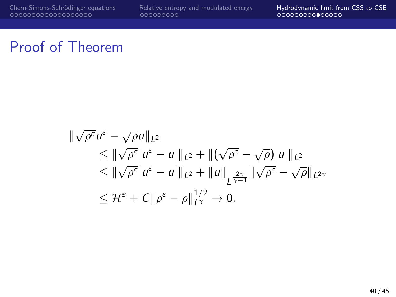[Chern-Simons-Schr¨odinger equations](#page-2-0) [Relative entropy and modulated energy](#page-21-0) [Hydrodynamic limit from CSS to CSE](#page-30-0)

### Proof of Theorem

$$
\begin{aligned}\n\|\sqrt{\rho^{\varepsilon}}u^{\varepsilon} - \sqrt{\rho}u\|_{L^{2}} \\
&\leq \|\sqrt{\rho^{\varepsilon}}|u^{\varepsilon} - u|\|_{L^{2}} + \|(\sqrt{\rho^{\varepsilon}} - \sqrt{\rho})|u|\|_{L^{2}} \\
&\leq \|\sqrt{\rho^{\varepsilon}}|u^{\varepsilon} - u|\|_{L^{2}} + \|u\|_{L^{\frac{2\gamma}{\gamma - 1}}}\|\sqrt{\rho^{\varepsilon}} - \sqrt{\rho}\|_{L^{2\gamma}} \\
&\leq \mathcal{H}^{\varepsilon} + C\|\rho^{\varepsilon} - \rho\|_{L^{\gamma}}^{1/2} \to 0.\n\end{aligned}
$$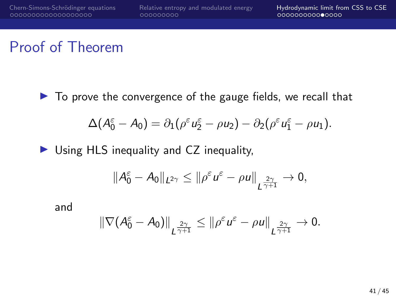## Proof of Theorem

 $\triangleright$  To prove the convergence of the gauge fields, we recall that

$$
\Delta(A_0^{\varepsilon}-A_0)=\partial_1(\rho^{\varepsilon}u_2^{\varepsilon}-\rho u_2)-\partial_2(\rho^{\varepsilon}u_1^{\varepsilon}-\rho u_1).
$$

 $\triangleright$  Using HLS inequality and CZ inequality,

$$
||A_0^{\varepsilon}-A_0||_{L^{2\gamma}}\leq ||\rho^{\varepsilon}u^{\varepsilon}-\rho u||_{L^{\frac{2\gamma}{\gamma+1}}}\to 0,
$$

and

$$
\|\nabla (A_0^{\varepsilon} - A_0)\|_{L^{\frac{2\gamma}{\gamma+1}}} \leq \|\rho^{\varepsilon} u^{\varepsilon} - \rho u\|_{L^{\frac{2\gamma}{\gamma+1}}} \to 0.
$$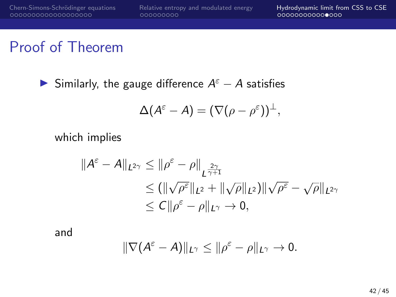## Proof of Theorem

Similarly, the gauge difference  $A^{\varepsilon} - A$  satisfies

$$
\Delta(A^{\varepsilon}-A)=(\nabla(\rho-\rho^{\varepsilon}))^{\perp},
$$

which implies

$$
\begin{aligned} \|\mathcal{A}^{\varepsilon} - \mathcal{A}\|_{L^{2\gamma}} &\leq \|\rho^{\varepsilon} - \rho\|_{L^{\frac{2\gamma}{\gamma+1}}} \\ &\leq (\|\sqrt{\rho^{\varepsilon}}\|_{L^{2}} + \|\sqrt{\rho}\|_{L^{2}}) \|\sqrt{\rho^{\varepsilon}} - \sqrt{\rho}\|_{L^{2\gamma}} \\ &\leq C \|\rho^{\varepsilon} - \rho\|_{L^{\gamma}} \to 0, \end{aligned}
$$

and

$$
\|\nabla (A^{\varepsilon}-A)\|_{L^{\gamma}}\leq \|\rho^{\varepsilon}-\rho\|_{L^{\gamma}}\to 0.
$$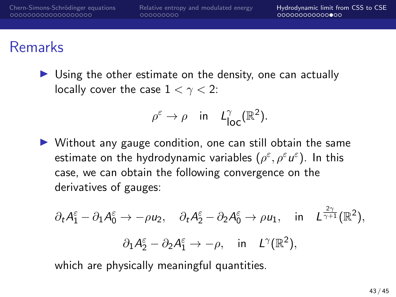### Remarks

 $\triangleright$  Using the other estimate on the density, one can actually locally cover the case  $1 < \gamma < 2$ :

$$
\rho^{\varepsilon} \to \rho \quad \text{in} \quad L_{\text{loc}}^{\gamma}(\mathbb{R}^2).
$$

 $\triangleright$  Without any gauge condition, one can still obtain the same estimate on the hydrodynamic variables  $(\rho^\varepsilon,\rho^\varepsilon u^\varepsilon)$ . In this case, we can obtain the following convergence on the derivatives of gauges:

$$
\partial_t A_1^{\varepsilon} - \partial_1 A_0^{\varepsilon} \to -\rho u_2, \quad \partial_t A_2^{\varepsilon} - \partial_2 A_0^{\varepsilon} \to \rho u_1, \quad \text{in} \quad L^{\frac{2\gamma}{\gamma+1}}(\mathbb{R}^2),
$$
  
 $\partial_1 A_2^{\varepsilon} - \partial_2 A_1^{\varepsilon} \to -\rho, \quad \text{in} \quad L^{\gamma}(\mathbb{R}^2),$ 

which are physically meaningful quantities.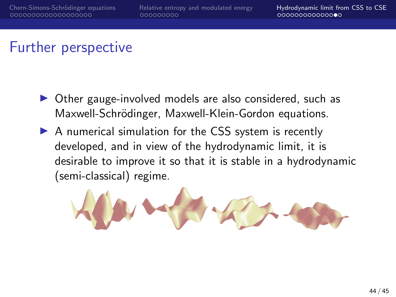## Further perspective

- $\triangleright$  Other gauge-involved models are also considered, such as Maxwell-Schrödinger, Maxwell-Klein-Gordon equations.
- $\triangleright$  A numerical simulation for the CSS system is recently developed, and in view of the hydrodynamic limit, it is desirable to improve it so that it is stable in a hydrodynamic (semi-classical) regime.